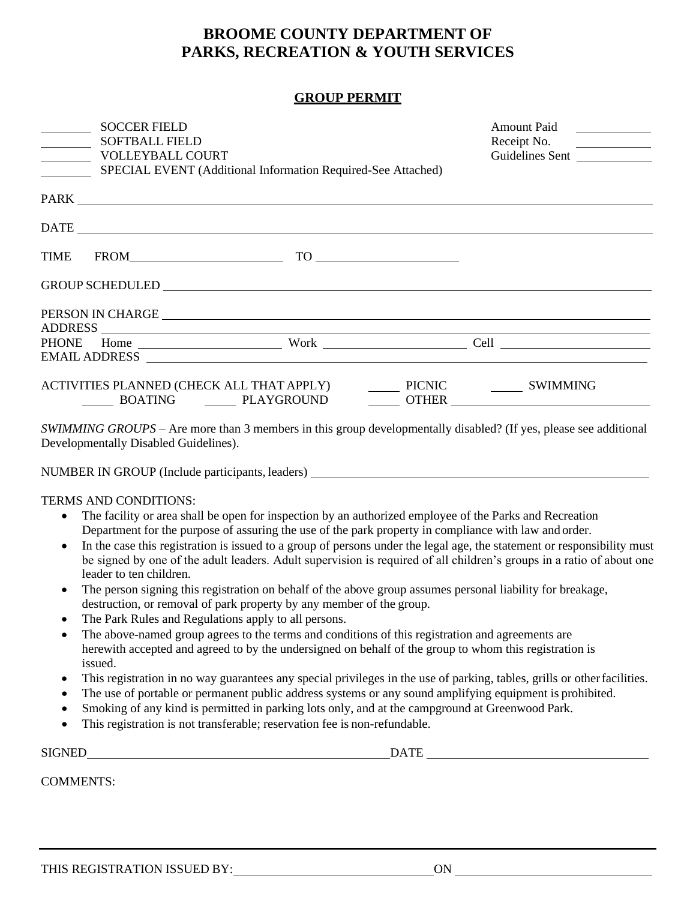# **BROOME COUNTY DEPARTMENT OF PARKS, RECREATION & YOUTH SERVICES**

### **GROUP PERMIT**

| <b>SOCCER FIELD</b>                                                                                                                                                                                                            |                                                              | <b>Amount Paid</b>                      |
|--------------------------------------------------------------------------------------------------------------------------------------------------------------------------------------------------------------------------------|--------------------------------------------------------------|-----------------------------------------|
| <b>SOFTBALL FIELD</b><br><b>VOLLEYBALL COURT</b>                                                                                                                                                                               |                                                              | Receipt No.<br>$\overline{\phantom{a}}$ |
| $\overline{\phantom{a}}$                                                                                                                                                                                                       | SPECIAL EVENT (Additional Information Required-See Attached) | Guidelines Sent                         |
|                                                                                                                                                                                                                                |                                                              |                                         |
|                                                                                                                                                                                                                                |                                                              |                                         |
|                                                                                                                                                                                                                                |                                                              |                                         |
|                                                                                                                                                                                                                                |                                                              |                                         |
|                                                                                                                                                                                                                                |                                                              |                                         |
| PERSON IN CHARGE RESERVE AND RESERVE AND RESERVE AND RESERVE AND RESERVE AND RESERVE AND RESERVE AND RESERVE AND RESERVE AND RESERVE AND RESERVE AND RESERVE AND RESPONDING A STRUCK AND RESPONDING A STRUCK AND RESPONDING A  |                                                              |                                         |
|                                                                                                                                                                                                                                |                                                              |                                         |
|                                                                                                                                                                                                                                |                                                              |                                         |
| EMAIL ADDRESS Research of the set of the set of the set of the set of the set of the set of the set of the set of the set of the set of the set of the set of the set of the set of the set of the set of the set of the set o |                                                              |                                         |
|                                                                                                                                                                                                                                |                                                              |                                         |
|                                                                                                                                                                                                                                |                                                              |                                         |
|                                                                                                                                                                                                                                |                                                              |                                         |
| SWIMMING GROUPS – Are more than 3 members in this group developmentally disabled? (If yes, please see additional<br>Developmentally Disabled Guidelines).                                                                      |                                                              |                                         |
|                                                                                                                                                                                                                                |                                                              |                                         |

NUMBER IN GROUP (Include participants, leaders)

TERMS AND CONDITIONS:

- The facility or area shall be open for inspection by an authorized employee of the Parks and Recreation Department for the purpose of assuring the use of the park property in compliance with law and order.
- In the case this registration is issued to a group of persons under the legal age, the statement or responsibility must be signed by one of the adult leaders. Adult supervision is required of all children's groups in a ratio of about one leader to ten children.
- The person signing this registration on behalf of the above group assumes personal liability for breakage, destruction, or removal of park property by any member of the group.
- The Park Rules and Regulations apply to all persons.
- The above-named group agrees to the terms and conditions of this registration and agreements are herewith accepted and agreed to by the undersigned on behalf of the group to whom this registration is issued.
- This registration in no way guarantees any special privileges in the use of parking, tables, grills or other facilities.
- The use of portable or permanent public address systems or any sound amplifying equipment is prohibited.
- Smoking of any kind is permitted in parking lots only, and at the campground at Greenwood Park.
- This registration is not transferable; reservation fee is non-refundable.

SIGNED DATE

COMMENTS: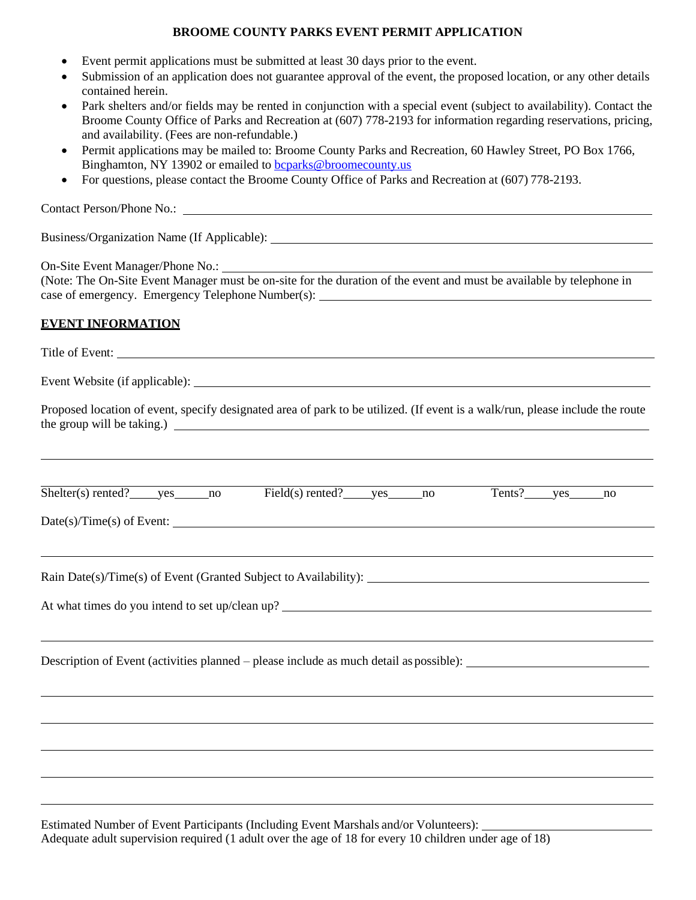# **BROOME COUNTY PARKS EVENT PERMIT APPLICATION**

- Event permit applications must be submitted at least 30 days prior to the event.
- Submission of an application does not guarantee approval of the event, the proposed location, or any other details contained herein.
- Park shelters and/or fields may be rented in conjunction with a special event (subject to availability). Contact the Broome County Office of Parks and Recreation at (607) 778-2193 for information regarding reservations, pricing, and availability. (Fees are non-refundable.)
- Permit applications may be mailed to: Broome County Parks and Recreation, 60 Hawley Street, PO Box 1766, Binghamton, NY 13902 or emailed to [bcparks@broomecounty.us](mailto:bcparks@broomecounty.us)
- For questions, please contact the Broome County Office of Parks and Recreation at (607) 778-2193.

Contact Person/Phone No.:

Business/Organization Name (If Applicable):

On-Site Event Manager/Phone No.:

(Note: The On-Site Event Manager must be on-site for the duration of the event and must be available by telephone in case of emergency. Emergency Telephone Number(s):

#### **EVENT INFORMATION**

Title of Event:

Event Website (if applicable):

Proposed location of event, specify designated area of park to be utilized. (If event is a walk/run, please include the route the group will be taking.)

| Shelter(s)<br>) rented | $\mathbf{V}\mathbf{A}\mathbf{C}$ | nc | rented <sup>-</sup> | $V\square C$ | nc | 'ents. | $V\cap C$ | nc |  |
|------------------------|----------------------------------|----|---------------------|--------------|----|--------|-----------|----|--|

Date(s)/Time(s) of Event:

Rain Date(s)/Time(s) of Event (Granted Subject to Availability):

At what times do you intend to set up/clean up?

Description of Event (activities planned – please include as much detail as possible):

Estimated Number of Event Participants (Including Event Marshals and/or Volunteers): Adequate adult supervision required (1 adult over the age of 18 for every 10 children under age of 18)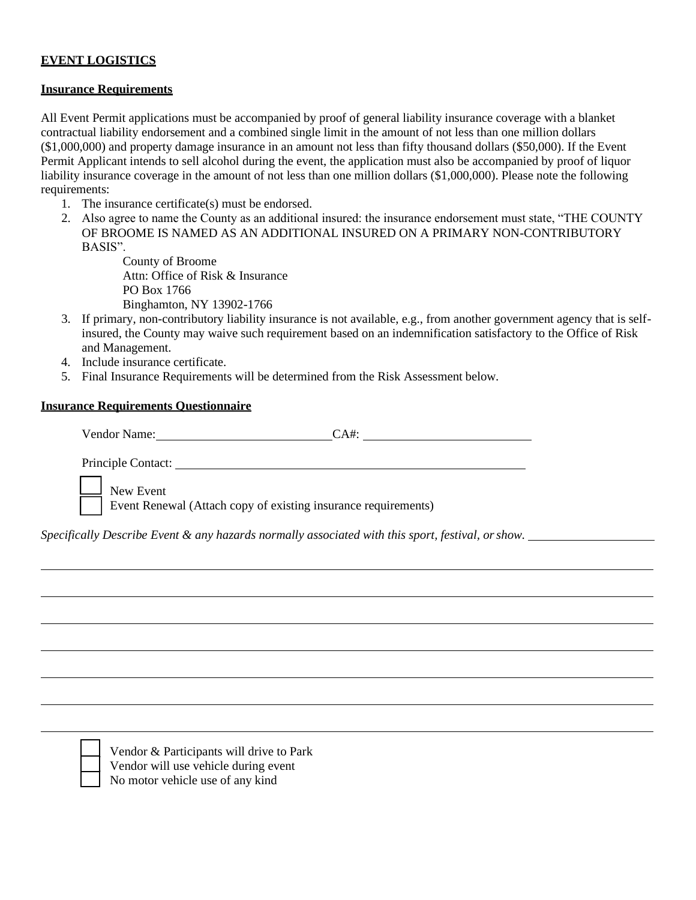# **EVENT LOGISTICS**

#### **Insurance Requirements**

All Event Permit applications must be accompanied by proof of general liability insurance coverage with a blanket contractual liability endorsement and a combined single limit in the amount of not less than one million dollars (\$1,000,000) and property damage insurance in an amount not less than fifty thousand dollars (\$50,000). If the Event Permit Applicant intends to sell alcohol during the event, the application must also be accompanied by proof of liquor liability insurance coverage in the amount of not less than one million dollars (\$1,000,000). Please note the following requirements:

- 1. The insurance certificate(s) must be endorsed.
- 2. Also agree to name the County as an additional insured: the insurance endorsement must state, "THE COUNTY OF BROOME IS NAMED AS AN ADDITIONAL INSURED ON A PRIMARY NON-CONTRIBUTORY BASIS".

County of Broome Attn: Office of Risk & Insurance PO Box 1766 Binghamton, NY 13902-1766

- 3. If primary, non-contributory liability insurance is not available, e.g., from another government agency that is selfinsured, the County may waive such requirement based on an indemnification satisfactory to the Office of Risk and Management.
- 4. Include insurance certificate.
- 5. Final Insurance Requirements will be determined from the Risk Assessment below.

#### **Insurance Requirements Questionnaire**

Vendor Name: CA#: CA#:

Principle Contact:

\_\_\_ New Event

Event Renewal (Attach copy of existing insurance requirements)

*Specifically Describe Event & any hazards normally associated with this sport, festival, orshow.*

\_\_\_ No motor vehicle use of any kindVendor & Participants will drive to Park Vendor will use vehicle during event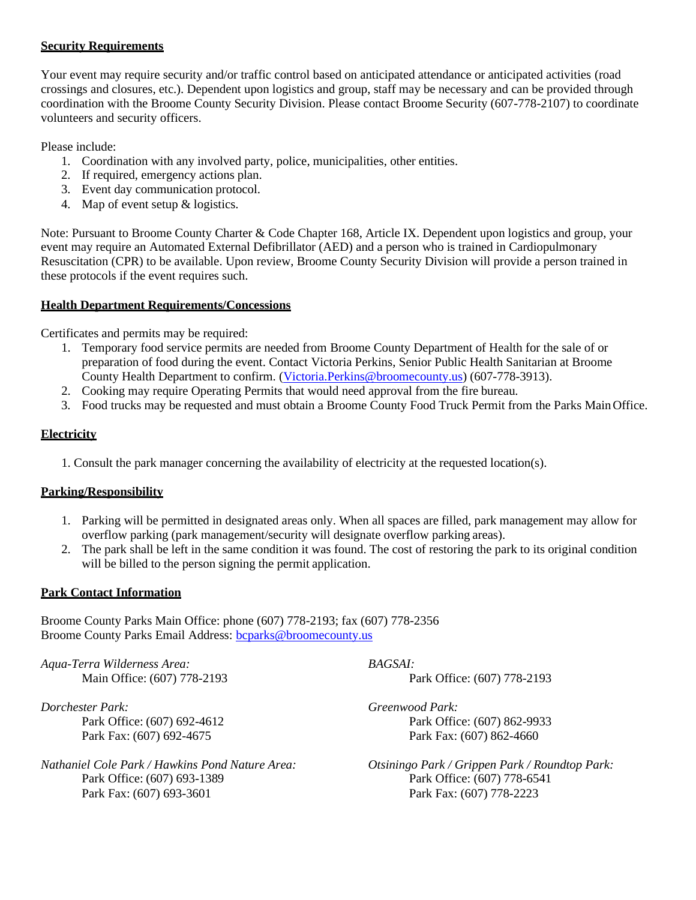### **Security Requirements**

Your event may require security and/or traffic control based on anticipated attendance or anticipated activities (road crossings and closures, etc.). Dependent upon logistics and group, staff may be necessary and can be provided through coordination with the Broome County Security Division. Please contact Broome Security (607-778-2107) to coordinate volunteers and security officers.

Please include:

- 1. Coordination with any involved party, police, municipalities, other entities.
- 2. If required, emergency actions plan.
- 3. Event day communication protocol.
- 4. Map of event setup & logistics.

Note: Pursuant to Broome County Charter & Code Chapter 168, Article IX. Dependent upon logistics and group, your event may require an Automated External Defibrillator (AED) and a person who is trained in Cardiopulmonary Resuscitation (CPR) to be available. Upon review, Broome County Security Division will provide a person trained in these protocols if the event requires such.

### **Health Department Requirements/Concessions**

Certificates and permits may be required:

- 1. Temporary food service permits are needed from Broome County Department of Health for the sale of or preparation of food during the event. Contact Victoria Perkins, Senior Public Health Sanitarian at Broome County Health Department to confirm. [\(Victoria.Perkins@broomecounty.us\)](mailto:Victoria.Perkins@broomecounty.us) (607-778-3913).
- 2. Cooking may require Operating Permits that would need approval from the fire bureau.
- 3. Food trucks may be requested and must obtain a Broome County Food Truck Permit from the Parks MainOffice.

# **Electricity**

1. Consult the park manager concerning the availability of electricity at the requested location(s).

# **Parking/Responsibility**

- 1. Parking will be permitted in designated areas only. When all spaces are filled, park management may allow for overflow parking (park management/security will designate overflow parking areas).
- 2. The park shall be left in the same condition it was found. The cost of restoring the park to its original condition will be billed to the person signing the permit application.

#### **Park Contact Information**

Broome County Parks Main Office: phone (607) 778-2193; fax (607) 778-2356 Broome County Parks Email Address: [bcparks@broomecounty.us](mailto:bcparks@broomecounty.us)

*Aqua-Terra Wilderness Area: BAGSAI:*

*Dorchester Park: Greenwood Park:*

Park Office: (607) 693-1389 Park Office: (607) 778-6541 Park Fax: (607) 693-3601 Park Fax: (607) 778-2223

Main Office: (607) 778-2193 **Park Office: (607) 778-2193** Park Office: (607) 778-2193

Park Office: (607) 692-4612 Park Office: (607) 862-9933 Park Fax: (607) 692-4675 Park Fax: (607) 862-4660

*Nathaniel Cole Park / Hawkins Pond Nature Area: Otsiningo Park / Grippen Park / Roundtop Park:*